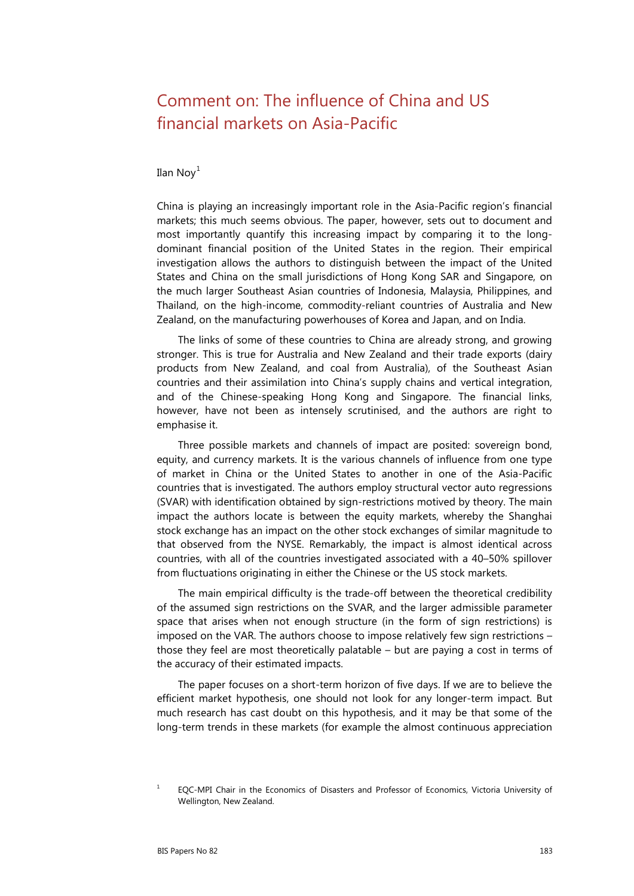## Comment on: The influence of China and US financial markets on Asia-Pacific

## Ilan  $Nov<sup>1</sup>$  $Nov<sup>1</sup>$  $Nov<sup>1</sup>$

China is playing an increasingly important role in the Asia-Pacific region's financial markets; this much seems obvious. The paper, however, sets out to document and most importantly quantify this increasing impact by comparing it to the longdominant financial position of the United States in the region. Their empirical investigation allows the authors to distinguish between the impact of the United States and China on the small jurisdictions of Hong Kong SAR and Singapore, on the much larger Southeast Asian countries of Indonesia, Malaysia, Philippines, and Thailand, on the high-income, commodity-reliant countries of Australia and New Zealand, on the manufacturing powerhouses of Korea and Japan, and on India.

The links of some of these countries to China are already strong, and growing stronger. This is true for Australia and New Zealand and their trade exports (dairy products from New Zealand, and coal from Australia), of the Southeast Asian countries and their assimilation into China's supply chains and vertical integration, and of the Chinese-speaking Hong Kong and Singapore. The financial links, however, have not been as intensely scrutinised, and the authors are right to emphasise it.

Three possible markets and channels of impact are posited: sovereign bond, equity, and currency markets. It is the various channels of influence from one type of market in China or the United States to another in one of the Asia-Pacific countries that is investigated. The authors employ structural vector auto regressions (SVAR) with identification obtained by sign-restrictions motived by theory. The main impact the authors locate is between the equity markets, whereby the Shanghai stock exchange has an impact on the other stock exchanges of similar magnitude to that observed from the NYSE. Remarkably, the impact is almost identical across countries, with all of the countries investigated associated with a 40–50% spillover from fluctuations originating in either the Chinese or the US stock markets.

The main empirical difficulty is the trade-off between the theoretical credibility of the assumed sign restrictions on the SVAR, and the larger admissible parameter space that arises when not enough structure (in the form of sign restrictions) is imposed on the VAR. The authors choose to impose relatively few sign restrictions – those they feel are most theoretically palatable – but are paying a cost in terms of the accuracy of their estimated impacts.

The paper focuses on a short-term horizon of five days. If we are to believe the efficient market hypothesis, one should not look for any longer-term impact. But much research has cast doubt on this hypothesis, and it may be that some of the long-term trends in these markets (for example the almost continuous appreciation

<span id="page-0-0"></span><sup>&</sup>lt;sup>1</sup> EQC-MPI Chair in the Economics of Disasters and Professor of Economics, Victoria University of Wellington, New Zealand.